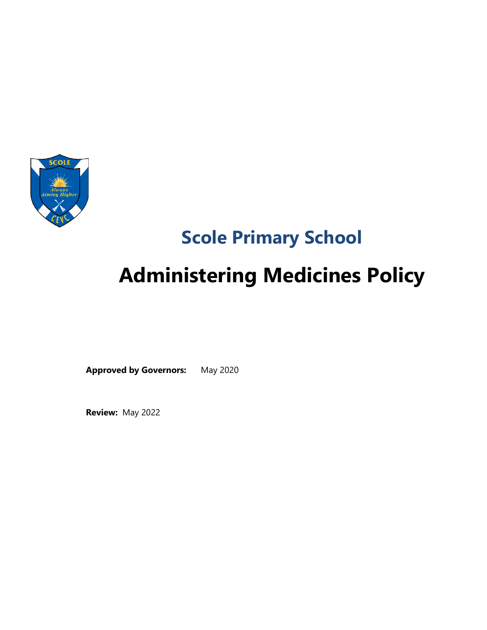

# **Scole Primary School**

# **Administering Medicines Policy**

**Approved by Governors:** May 2020

**Review:** May 2022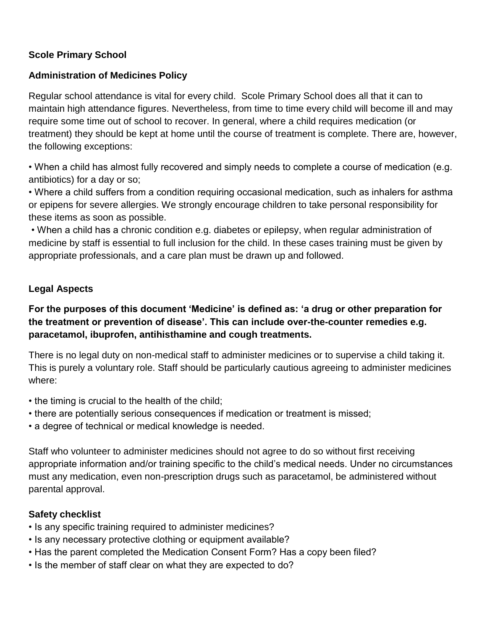# **Scole Primary School**

# **Administration of Medicines Policy**

Regular school attendance is vital for every child. Scole Primary School does all that it can to maintain high attendance figures. Nevertheless, from time to time every child will become ill and may require some time out of school to recover. In general, where a child requires medication (or treatment) they should be kept at home until the course of treatment is complete. There are, however, the following exceptions:

• When a child has almost fully recovered and simply needs to complete a course of medication (e.g. antibiotics) for a day or so;

• Where a child suffers from a condition requiring occasional medication, such as inhalers for asthma or epipens for severe allergies. We strongly encourage children to take personal responsibility for these items as soon as possible.

• When a child has a chronic condition e.g. diabetes or epilepsy, when regular administration of medicine by staff is essential to full inclusion for the child. In these cases training must be given by appropriate professionals, and a care plan must be drawn up and followed.

# **Legal Aspects**

**For the purposes of this document 'Medicine' is defined as: 'a drug or other preparation for the treatment or prevention of disease'. This can include over-the-counter remedies e.g. paracetamol, ibuprofen, antihisthamine and cough treatments.**

There is no legal duty on non-medical staff to administer medicines or to supervise a child taking it. This is purely a voluntary role. Staff should be particularly cautious agreeing to administer medicines where:

- the timing is crucial to the health of the child;
- there are potentially serious consequences if medication or treatment is missed;
- a degree of technical or medical knowledge is needed.

Staff who volunteer to administer medicines should not agree to do so without first receiving appropriate information and/or training specific to the child's medical needs. Under no circumstances must any medication, even non-prescription drugs such as paracetamol, be administered without parental approval.

# **Safety checklist**

- Is any specific training required to administer medicines?
- Is any necessary protective clothing or equipment available?
- Has the parent completed the Medication Consent Form? Has a copy been filed?
- Is the member of staff clear on what they are expected to do?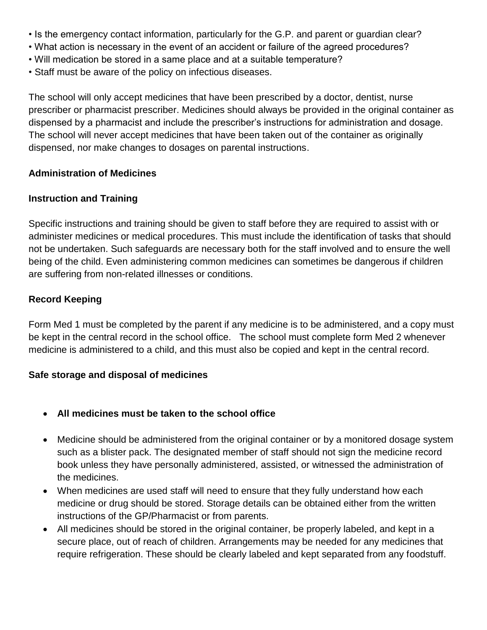- Is the emergency contact information, particularly for the G.P. and parent or guardian clear?
- What action is necessary in the event of an accident or failure of the agreed procedures?
- Will medication be stored in a same place and at a suitable temperature?
- Staff must be aware of the policy on infectious diseases.

The school will only accept medicines that have been prescribed by a doctor, dentist, nurse prescriber or pharmacist prescriber. Medicines should always be provided in the original container as dispensed by a pharmacist and include the prescriber's instructions for administration and dosage. The school will never accept medicines that have been taken out of the container as originally dispensed, nor make changes to dosages on parental instructions.

#### **Administration of Medicines**

#### **Instruction and Training**

Specific instructions and training should be given to staff before they are required to assist with or administer medicines or medical procedures. This must include the identification of tasks that should not be undertaken. Such safeguards are necessary both for the staff involved and to ensure the well being of the child. Even administering common medicines can sometimes be dangerous if children are suffering from non-related illnesses or conditions.

# **Record Keeping**

Form Med 1 must be completed by the parent if any medicine is to be administered, and a copy must be kept in the central record in the school office. The school must complete form Med 2 whenever medicine is administered to a child, and this must also be copied and kept in the central record.

#### **Safe storage and disposal of medicines**

- **All medicines must be taken to the school office**
- Medicine should be administered from the original container or by a monitored dosage system such as a blister pack. The designated member of staff should not sign the medicine record book unless they have personally administered, assisted, or witnessed the administration of the medicines.
- When medicines are used staff will need to ensure that they fully understand how each medicine or drug should be stored. Storage details can be obtained either from the written instructions of the GP/Pharmacist or from parents.
- All medicines should be stored in the original container, be properly labeled, and kept in a secure place, out of reach of children. Arrangements may be needed for any medicines that require refrigeration. These should be clearly labeled and kept separated from any foodstuff.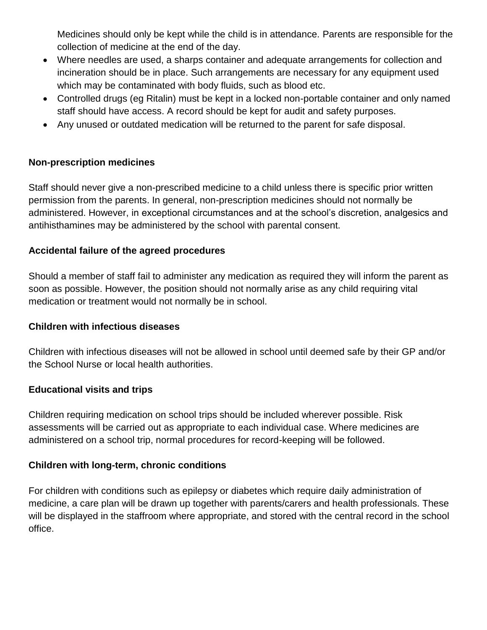Medicines should only be kept while the child is in attendance. Parents are responsible for the collection of medicine at the end of the day.

- Where needles are used, a sharps container and adequate arrangements for collection and incineration should be in place. Such arrangements are necessary for any equipment used which may be contaminated with body fluids, such as blood etc.
- Controlled drugs (eg Ritalin) must be kept in a locked non-portable container and only named staff should have access. A record should be kept for audit and safety purposes.
- Any unused or outdated medication will be returned to the parent for safe disposal.

# **Non-prescription medicines**

Staff should never give a non-prescribed medicine to a child unless there is specific prior written permission from the parents. In general, non-prescription medicines should not normally be administered. However, in exceptional circumstances and at the school's discretion, analgesics and antihisthamines may be administered by the school with parental consent.

# **Accidental failure of the agreed procedures**

Should a member of staff fail to administer any medication as required they will inform the parent as soon as possible. However, the position should not normally arise as any child requiring vital medication or treatment would not normally be in school.

# **Children with infectious diseases**

Children with infectious diseases will not be allowed in school until deemed safe by their GP and/or the School Nurse or local health authorities.

# **Educational visits and trips**

Children requiring medication on school trips should be included wherever possible. Risk assessments will be carried out as appropriate to each individual case. Where medicines are administered on a school trip, normal procedures for record-keeping will be followed.

# **Children with long-term, chronic conditions**

For children with conditions such as epilepsy or diabetes which require daily administration of medicine, a care plan will be drawn up together with parents/carers and health professionals. These will be displayed in the staffroom where appropriate, and stored with the central record in the school office.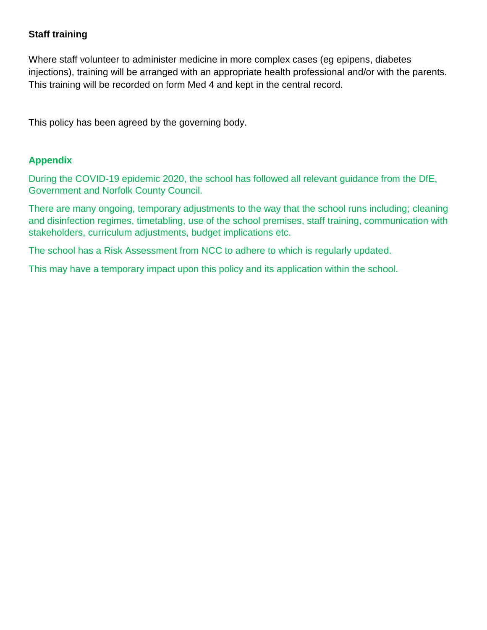# **Staff training**

Where staff volunteer to administer medicine in more complex cases (eg epipens, diabetes injections), training will be arranged with an appropriate health professional and/or with the parents. This training will be recorded on form Med 4 and kept in the central record.

This policy has been agreed by the governing body.

#### **Appendix**

During the COVID-19 epidemic 2020, the school has followed all relevant guidance from the DfE, Government and Norfolk County Council.

There are many ongoing, temporary adjustments to the way that the school runs including; cleaning and disinfection regimes, timetabling, use of the school premises, staff training, communication with stakeholders, curriculum adjustments, budget implications etc.

The school has a Risk Assessment from NCC to adhere to which is regularly updated.

This may have a temporary impact upon this policy and its application within the school.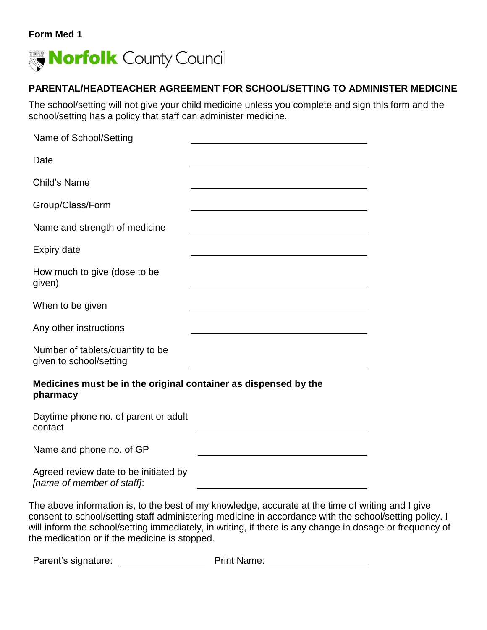#### **Form Med 1**



# **PARENTAL/HEADTEACHER AGREEMENT FOR SCHOOL/SETTING TO ADMINISTER MEDICINE**

The school/setting will not give your child medicine unless you complete and sign this form and the school/setting has a policy that staff can administer medicine.

| Name of School/Setting                                                      |  |  |  |  |
|-----------------------------------------------------------------------------|--|--|--|--|
| Date                                                                        |  |  |  |  |
| Child's Name                                                                |  |  |  |  |
| Group/Class/Form                                                            |  |  |  |  |
| Name and strength of medicine                                               |  |  |  |  |
| <b>Expiry date</b>                                                          |  |  |  |  |
| How much to give (dose to be<br>given)                                      |  |  |  |  |
| When to be given                                                            |  |  |  |  |
| Any other instructions                                                      |  |  |  |  |
| Number of tablets/quantity to be<br>given to school/setting                 |  |  |  |  |
| Medicines must be in the original container as dispensed by the<br>pharmacy |  |  |  |  |

Daytime phone no. of parent or adult contact

Name and phone no. of GP

Agreed review date to be initiated by *[name of member of staff]*:

The above information is, to the best of my knowledge, accurate at the time of writing and I give consent to school/setting staff administering medicine in accordance with the school/setting policy. I will inform the school/setting immediately, in writing, if there is any change in dosage or frequency of the medication or if the medicine is stopped.

Parent's signature: Print Name: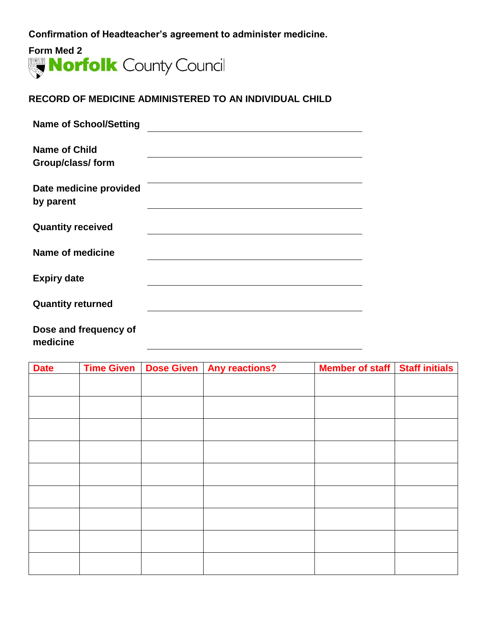**Confirmation of Headteacher's agreement to administer medicine.**



#### **RECORD OF MEDICINE ADMINISTERED TO AN INDIVIDUAL CHILD**

| <b>Name of School/Setting</b>             |  |
|-------------------------------------------|--|
| <b>Name of Child</b><br>Group/class/ form |  |
| Date medicine provided<br>by parent       |  |
| <b>Quantity received</b>                  |  |
| Name of medicine                          |  |
| <b>Expiry date</b>                        |  |
| <b>Quantity returned</b>                  |  |
| Dose and frequency of                     |  |

**medicine**

| <b>Date</b> |  | Time Given   Dose Given   Any reactions? | Member of staff Staff initials |  |
|-------------|--|------------------------------------------|--------------------------------|--|
|             |  |                                          |                                |  |
|             |  |                                          |                                |  |
|             |  |                                          |                                |  |
|             |  |                                          |                                |  |
|             |  |                                          |                                |  |
|             |  |                                          |                                |  |
|             |  |                                          |                                |  |
|             |  |                                          |                                |  |
|             |  |                                          |                                |  |
|             |  |                                          |                                |  |
|             |  |                                          |                                |  |
|             |  |                                          |                                |  |